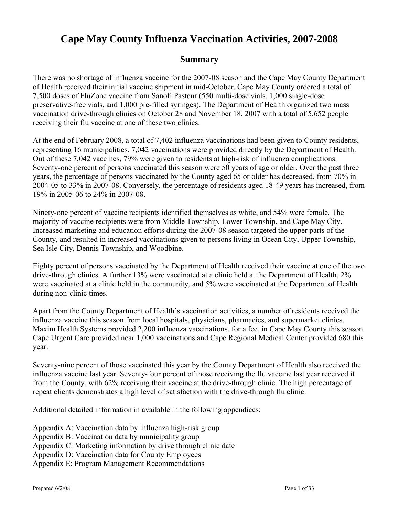# **Cape May County Influenza Vaccination Activities, 2007-2008**

## **Summary**

There was no shortage of influenza vaccine for the 2007-08 season and the Cape May County Department of Health received their initial vaccine shipment in mid-October. Cape May County ordered a total of 7,500 doses of FluZone vaccine from Sanofi Pasteur (550 multi-dose vials, 1,000 single-dose preservative-free vials, and 1,000 pre-filled syringes). The Department of Health organized two mass vaccination drive-through clinics on October 28 and November 18, 2007 with a total of 5,652 people receiving their flu vaccine at one of these two clinics.

At the end of February 2008, a total of 7,402 influenza vaccinations had been given to County residents, representing 16 municipalities. 7,042 vaccinations were provided directly by the Department of Health. Out of these 7,042 vaccines, 79% were given to residents at high-risk of influenza complications. Seventy-one percent of persons vaccinated this season were 50 years of age or older. Over the past three years, the percentage of persons vaccinated by the County aged 65 or older has decreased, from 70% in 2004-05 to 33% in 2007-08. Conversely, the percentage of residents aged 18-49 years has increased, from 19% in 2005-06 to 24% in 2007-08.

Ninety-one percent of vaccine recipients identified themselves as white, and 54% were female. The majority of vaccine recipients were from Middle Township, Lower Township, and Cape May City. Increased marketing and education efforts during the 2007-08 season targeted the upper parts of the County, and resulted in increased vaccinations given to persons living in Ocean City, Upper Township, Sea Isle City, Dennis Township, and Woodbine.

Eighty percent of persons vaccinated by the Department of Health received their vaccine at one of the two drive-through clinics. A further 13% were vaccinated at a clinic held at the Department of Health, 2% were vaccinated at a clinic held in the community, and 5% were vaccinated at the Department of Health during non-clinic times.

Apart from the County Department of Health's vaccination activities, a number of residents received the influenza vaccine this season from local hospitals, physicians, pharmacies, and supermarket clinics. Maxim Health Systems provided 2,200 influenza vaccinations, for a fee, in Cape May County this season. Cape Urgent Care provided near 1,000 vaccinations and Cape Regional Medical Center provided 680 this year.

Seventy-nine percent of those vaccinated this year by the County Department of Health also received the influenza vaccine last year. Seventy-four percent of those receiving the flu vaccine last year received it from the County, with 62% receiving their vaccine at the drive-through clinic. The high percentage of repeat clients demonstrates a high level of satisfaction with the drive-through flu clinic.

Additional detailed information in available in the following appendices:

Appendix A: Vaccination data by influenza high-risk group

Appendix B: Vaccination data by municipality group

Appendix C: Marketing information by drive through clinic date

Appendix D: Vaccination data for County Employees

Appendix E: Program Management Recommendations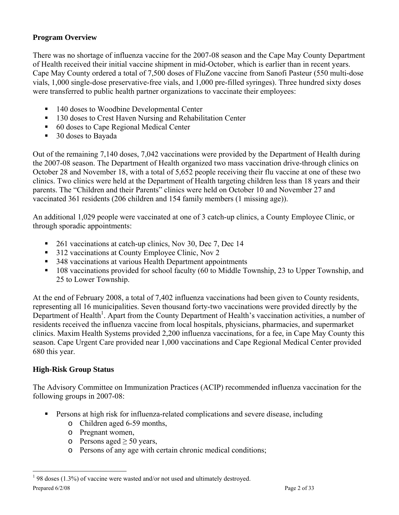### **Program Overview**

There was no shortage of influenza vaccine for the 2007-08 season and the Cape May County Department of Health received their initial vaccine shipment in mid-October, which is earlier than in recent years. Cape May County ordered a total of 7,500 doses of FluZone vaccine from Sanofi Pasteur (550 multi-dose vials, 1,000 single-dose preservative-free vials, and 1,000 pre-filled syringes). Three hundred sixty doses were transferred to public health partner organizations to vaccinate their employees:

- 140 doses to Woodbine Developmental Center
- <sup>130</sup> doses to Crest Haven Nursing and Rehabilitation Center
- 60 doses to Cape Regional Medical Center
- 30 doses to Bayada

Out of the remaining 7,140 doses, 7,042 vaccinations were provided by the Department of Health during the 2007-08 season. The Department of Health organized two mass vaccination drive-through clinics on October 28 and November 18, with a total of 5,652 people receiving their flu vaccine at one of these two clinics. Two clinics were held at the Department of Health targeting children less than 18 years and their parents. The "Children and their Parents" clinics were held on October 10 and November 27 and vaccinated 361 residents (206 children and 154 family members (1 missing age)).

An additional 1,029 people were vaccinated at one of 3 catch-up clinics, a County Employee Clinic, or through sporadic appointments:

- 261 vaccinations at catch-up clinics, Nov 30, Dec 7, Dec 14
- <sup>312</sup> vaccinations at County Employee Clinic, Nov 2
- 348 vaccinations at various Health Department appointments
- <sup>108</sup> vaccinations provided for school faculty (60 to Middle Township, 23 to Upper Township, and 25 to Lower Township.

At the end of February 2008, a total of 7,402 influenza vaccinations had been given to County residents, representing all 16 municipalities. Seven thousand forty-two vaccinations were provided directly by the Department of Health<sup>1</sup>. Apart from the County Department of Health's vaccination activities, a number of residents received the influenza vaccine from local hospitals, physicians, pharmacies, and supermarket clinics. Maxim Health Systems provided 2,200 influenza vaccinations, for a fee, in Cape May County this season. Cape Urgent Care provided near 1,000 vaccinations and Cape Regional Medical Center provided 680 this year.

#### **High-Risk Group Status**

 $\overline{a}$ 

The Advisory Committee on Immunization Practices (ACIP) recommended influenza vaccination for the following groups in 2007-08:

- **Persons at high risk for influenza-related complications and severe disease, including** 
	- o Children aged 6-59 months,
	- o Pregnant women,
	- o Persons aged  $\geq 50$  years,
	- o Persons of any age with certain chronic medical conditions;

Prepared  $6/2/08$  Page 2 of 33  $198$  doses (1.3%) of vaccine were wasted and/or not used and ultimately destroyed.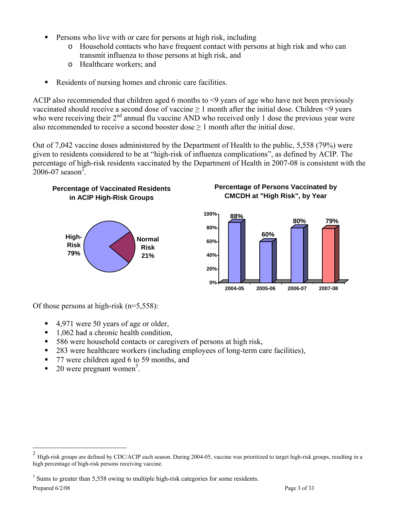- **Persons who live with or care for persons at high risk, including** 
	- o Household contacts who have frequent contact with persons at high risk and who can transmit influenza to those persons at high risk, and
	- o Healthcare workers; and
- Residents of nursing homes and chronic care facilities.

ACIP also recommended that children aged 6 months to <9 years of age who have not been previously vaccinated should receive a second dose of vaccine  $\geq 1$  month after the initial dose. Children <9 years who were receiving their  $2<sup>nd</sup>$  annual flu vaccine AND who received only 1 dose the previous year were also recommended to receive a second booster dose  $\geq 1$  month after the initial dose.

Out of 7,042 vaccine doses administered by the Department of Health to the public, 5,558 (79%) were given to residents considered to be at "high-risk of influenza complications", as defined by ACIP. The percentage of high-risk residents vaccinated by the Department of Health in 2007-08 is consistent with the  $2006 - 07$  season<sup>2</sup>.



**Percentage of Vaccinated Residents** 

#### **Percentage of Persons Vaccinated by CMCDH at "High Risk", by Year**



Of those persons at high-risk  $(n=5,558)$ :

- 4,971 were 50 years of age or older,
- $\blacksquare$  1,062 had a chronic health condition,
- 586 were household contacts or caregivers of persons at high risk,
- 283 were healthcare workers (including employees of long-term care facilities),
- 77 were children aged 6 to 59 months, and
- $\bullet$  20 were pregnant women<sup>3</sup>.

 $\overline{a}$ 

 $2$  High-risk groups are defined by CDC/ACIP each season. During 2004-05, vaccine was prioritized to target high-risk groups, resulting in a high percentage of high-risk persons receiving vaccine.

<sup>&</sup>lt;sup>3</sup> Sums to greater than 5,558 owing to multiple high-risk categories for some residents.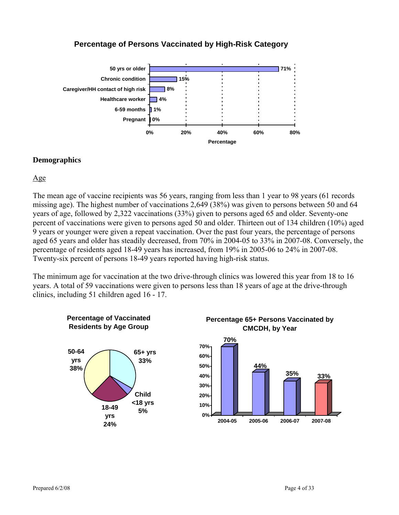### **Percentage of Persons Vaccinated by High-Risk Category**



#### **Demographics**

Age

The mean age of vaccine recipients was 56 years, ranging from less than 1 year to 98 years (61 records missing age). The highest number of vaccinations 2,649 (38%) was given to persons between 50 and 64 years of age, followed by 2,322 vaccinations (33%) given to persons aged 65 and older. Seventy-one percent of vaccinations were given to persons aged 50 and older. Thirteen out of 134 children (10%) aged 9 years or younger were given a repeat vaccination. Over the past four years, the percentage of persons aged 65 years and older has steadily decreased, from 70% in 2004-05 to 33% in 2007-08. Conversely, the percentage of residents aged 18-49 years has increased, from 19% in 2005-06 to 24% in 2007-08. Twenty-six percent of persons 18-49 years reported having high-risk status.

The minimum age for vaccination at the two drive-through clinics was lowered this year from 18 to 16 years. A total of 59 vaccinations were given to persons less than 18 years of age at the drive-through clinics, including 51 children aged 16 - 17.





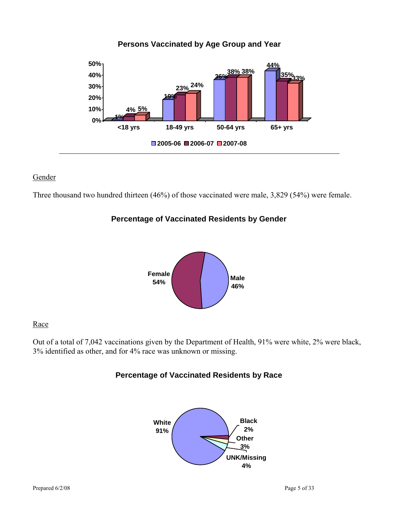

#### Gender

Three thousand two hundred thirteen (46%) of those vaccinated were male, 3,829 (54%) were female.

#### **Percentage of Vaccinated Residents by Gender**



#### **Race**

Out of a total of 7,042 vaccinations given by the Department of Health, 91% were white, 2% were black, 3% identified as other, and for 4% race was unknown or missing.

### **Percentage of Vaccinated Residents by Race**

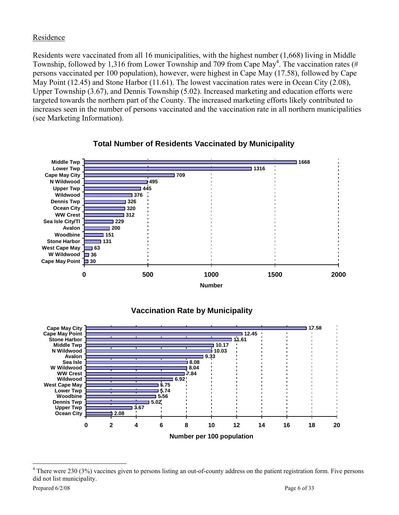#### Residence

Residents were vaccinated from all 16 municipalities, with the highest number (1,668) living in Middle Township, followed by 1,316 from Lower Township and 709 from Cape May<sup>4</sup>. The vaccination rates (# persons vaccinated per 100 population), however, were highest in Cape May (17.58), followed by Cape May Point (12.45) and Stone Harbor (11.61). The lowest vaccination rates were in Ocean City (2.08), Upper Township (3.67), and Dennis Township (5.02). Increased marketing and education efforts were targeted towards the northern part of the County. The increased marketing efforts likely contributed to increases seen in the number of persons vaccinated and the vaccination rate in all northern municipalities (see Marketing Information).



### **Total Number of Residents Vaccinated by Municipality**

# **Vaccination Rate by Municipality**



<sup>&</sup>lt;sup>4</sup> There were 230 (3%) vaccines given to persons listing an out-of-county address on the patient registration form. Five persons did not list municipality.

 $\overline{a}$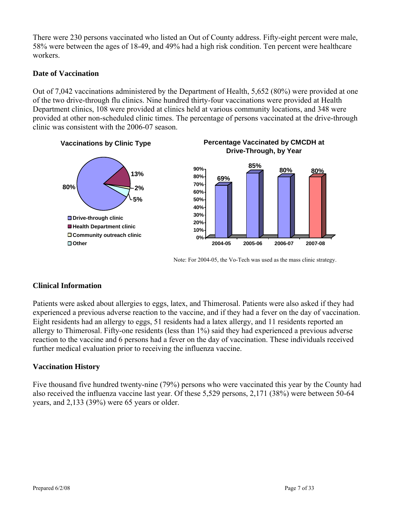There were 230 persons vaccinated who listed an Out of County address. Fifty-eight percent were male, 58% were between the ages of 18-49, and 49% had a high risk condition. Ten percent were healthcare workers.

#### **Date of Vaccination**

Out of 7,042 vaccinations administered by the Department of Health, 5,652 (80%) were provided at one of the two drive-through flu clinics. Nine hundred thirty-four vaccinations were provided at Health Department clinics, 108 were provided at clinics held at various community locations, and 348 were provided at other non-scheduled clinic times. The percentage of persons vaccinated at the drive-through clinic was consistent with the 2006-07 season.



Note: For 2004-05, the Vo-Tech was used as the mass clinic strategy.

### **Clinical Information**

Patients were asked about allergies to eggs, latex, and Thimerosal. Patients were also asked if they had experienced a previous adverse reaction to the vaccine, and if they had a fever on the day of vaccination. Eight residents had an allergy to eggs, 51 residents had a latex allergy, and 11 residents reported an allergy to Thimerosal. Fifty-one residents (less than 1%) said they had experienced a previous adverse reaction to the vaccine and 6 persons had a fever on the day of vaccination. These individuals received further medical evaluation prior to receiving the influenza vaccine.

### **Vaccination History**

Five thousand five hundred twenty-nine (79%) persons who were vaccinated this year by the County had also received the influenza vaccine last year. Of these 5,529 persons, 2,171 (38%) were between 50-64 years, and 2,133 (39%) were 65 years or older.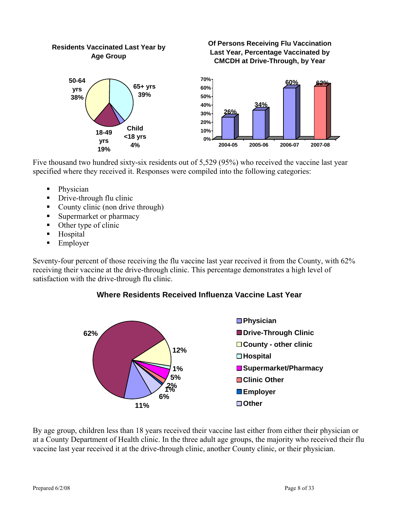

**Of Persons Receiving Flu Vaccination** 

Five thousand two hundred sixty-six residents out of 5,529 (95%) who received the vaccine last year specified where they received it. Responses were compiled into the following categories:

- Physician
- Drive-through flu clinic
- County clinic (non drive through)

**Residents Vaccinated Last Year by** 

- Supermarket or pharmacy
- Other type of clinic
- **Hospital**
- **Employer**

Seventy-four percent of those receiving the flu vaccine last year received it from the County, with 62% receiving their vaccine at the drive-through clinic. This percentage demonstrates a high level of satisfaction with the drive-through flu clinic.





By age group, children less than 18 years received their vaccine last either from either their physician or at a County Department of Health clinic. In the three adult age groups, the majority who received their flu vaccine last year received it at the drive-through clinic, another County clinic, or their physician.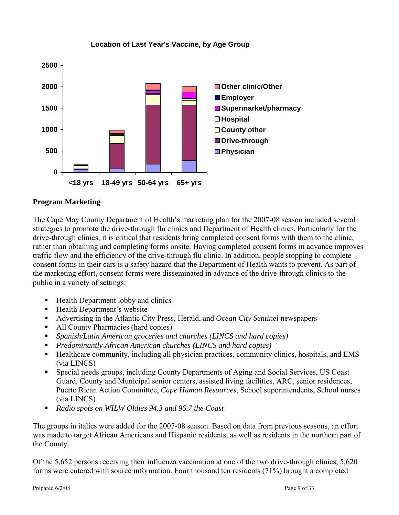

#### **Location of Last Year's Vaccine, by Age Group**

#### **Program Marketing**

The Cape May County Department of Health's marketing plan for the 2007-08 season included several strategies to promote the drive-through flu clinics and Department of Health clinics. Particularly for the drive-through clinics, it is critical that residents bring completed consent forms with them to the clinic, rather than obtaining and completing forms onsite. Having completed consent forms in advance improves traffic flow and the efficiency of the drive-through flu clinic. In addition, people stopping to complete consent forms in their cars is a safety hazard that the Department of Health wants to prevent. As part of the marketing effort, consent forms were disseminated in advance of the drive-through clinics to the public in a variety of settings:

- Health Department lobby and clinics
- Health Department's website
- Advertising in the Atlantic City Press, Herald, and *Ocean City Sentinel* newspapers
- All County Pharmacies (hard copies)
- *Spanish/Latin American groceries and churches (LINCS and hard copies)*
- *Predominantly African American churches (LINCS and hard copies)*
- Healthcare community, including all physician practices, community clinics, hospitals, and EMS (via LINCS)
- Special needs groups, including County Departments of Aging and Social Services, US Coast Guard, County and Municipal senior centers, assisted living facilities, ARC, senior residences, Puerto Rican Action Committee, *Cape Human Resources*, School superintendents, School nurses (via LINCS)
- *Radio spots on WILW Oldies 94.3 and 96.7 the Coast*

The groups in italics were added for the 2007-08 season. Based on data from previous seasons, an effort was made to target African Americans and Hispanic residents, as well as residents in the northern part of the County.

Of the 5,652 persons receiving their influenza vaccination at one of the two drive-through clinics, 5,620 forms were entered with source information. Four thousand ten residents (71%) brought a completed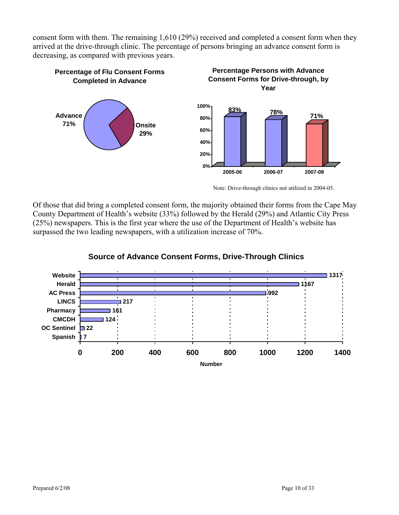consent form with them. The remaining 1,610 (29%) received and completed a consent form when they arrived at the drive-through clinic. The percentage of persons bringing an advance consent form is decreasing, as compared with previous years.



Note: Drive-through clinics not utilized in 2004-05.

Of those that did bring a completed consent form, the majority obtained their forms from the Cape May County Department of Health's website (33%) followed by the Herald (29%) and Atlantic City Press (25%) newspapers. This is the first year where the use of the Department of Health's website has surpassed the two leading newspapers, with a utilization increase of 70%.



### **Source of Advance Consent Forms, Drive-Through Clinics**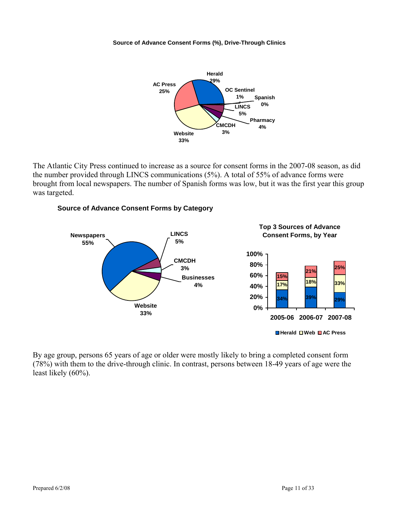#### **Source of Advance Consent Forms (%), Drive-Through Clinics**



The Atlantic City Press continued to increase as a source for consent forms in the 2007-08 season, as did the number provided through LINCS communications (5%). A total of 55% of advance forms were brought from local newspapers. The number of Spanish forms was low, but it was the first year this group was targeted.

#### **Source of Advance Consent Forms by Category**



By age group, persons 65 years of age or older were mostly likely to bring a completed consent form (78%) with them to the drive-through clinic. In contrast, persons between 18-49 years of age were the least likely (60%).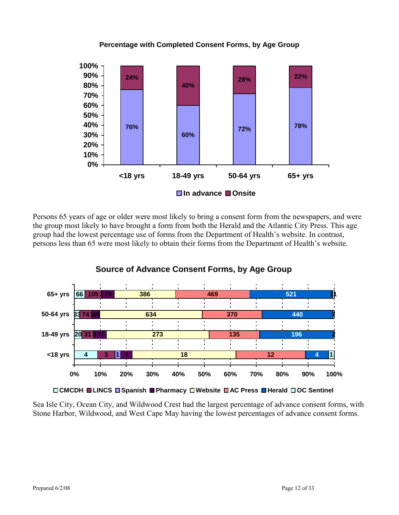

#### **Percentage with Completed Consent Forms, by Age Group**

Persons 65 years of age or older were most likely to bring a consent form from the newspapers, and were the group most likely to have brought a form from both the Herald and the Atlantic City Press. This age group had the lowest percentage use of forms from the Department of Health's website. In contrast, persons less than 65 were most likely to obtain their forms from the Department of Health's website.

**Source of Advance Consent Forms, by Age Group** 



**CMCDH LINCS Spanish Pharmacy Website AC Press Herald OC Sentinel**

Sea Isle City, Ocean City, and Wildwood Crest had the largest percentage of advance consent forms, with Stone Harbor, Wildwood, and West Cape May having the lowest percentages of advance consent forms.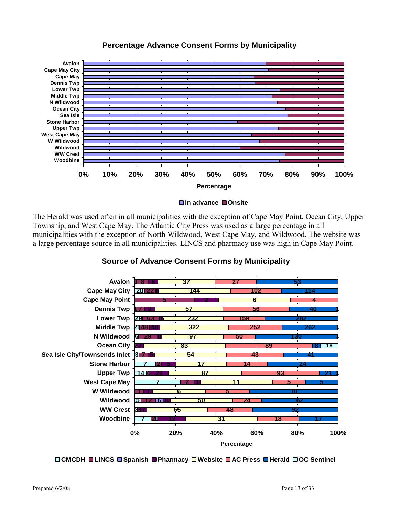

### **Percentage Advance Consent Forms by Municipality**

**In advance Onsite**

The Herald was used often in all municipalities with the exception of Cape May Point, Ocean City, Upper Township, and West Cape May. The Atlantic City Press was used as a large percentage in all municipalities with the exception of North Wildwood, West Cape May, and Wildwood. The website was a large percentage source in all municipalities. LINCS and pharmacy use was high in Cape May Point.



### **Source of Advance Consent Forms by Municipality**

**CMCDH LINCS Spanish Pharmacy Website AC Press Herald OC Sentinel**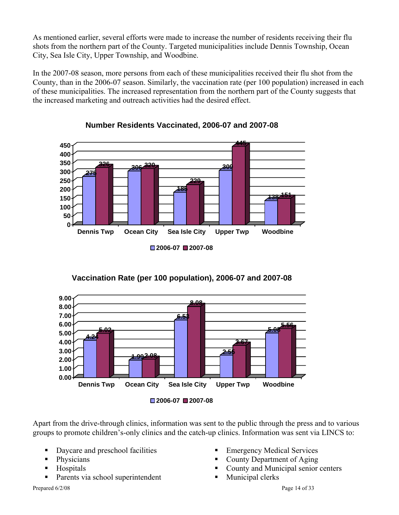As mentioned earlier, several efforts were made to increase the number of residents receiving their flu shots from the northern part of the County. Targeted municipalities include Dennis Township, Ocean City, Sea Isle City, Upper Township, and Woodbine.

In the 2007-08 season, more persons from each of these municipalities received their flu shot from the County, than in the 2006-07 season. Similarly, the vaccination rate (per 100 population) increased in each of these municipalities. The increased representation from the northern part of the County suggests that the increased marketing and outreach activities had the desired effect.





**Vaccination Rate (per 100 population), 2006-07 and 2007-08**



**2006-07 2007-08**

Apart from the drive-through clinics, information was sent to the public through the press and to various groups to promote children's-only clinics and the catch-up clinics. Information was sent via LINCS to:

- Daycare and preschool facilities
- Physicians
- Hospitals
- Parents via school superintendent

Prepared  $6/2/08$  Page 14 of 33

- Emergency Medical Services
- County Department of Aging
- County and Municipal senior centers
- **Municipal clerks**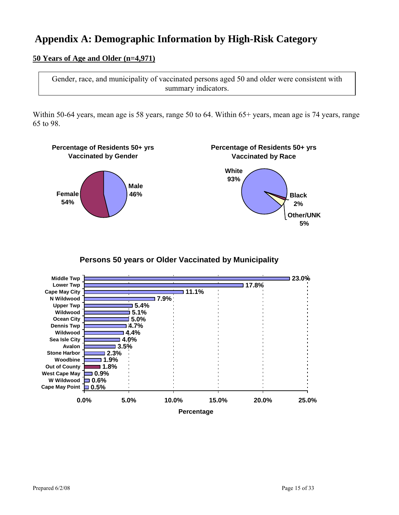# **Appendix A: Demographic Information by High-Risk Category**

#### **50 Years of Age and Older (n=4,971)**

Gender, race, and municipality of vaccinated persons aged 50 and older were consistent with summary indicators.

Within 50-64 years, mean age is 58 years, range 50 to 64. Within 65+ years, mean age is 74 years, range 65 to 98.



**Persons 50 years or Older Vaccinated by Municipality**

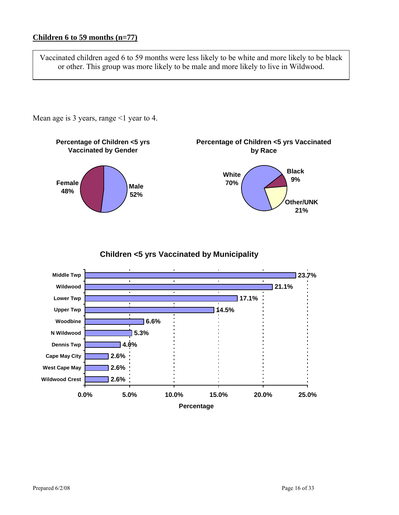Vaccinated children aged 6 to 59 months were less likely to be white and more likely to be black or other. This group was more likely to be male and more likely to live in Wildwood.

Mean age is 3 years, range  $\leq 1$  year to 4.



**Children <5 yrs Vaccinated by Municipality**

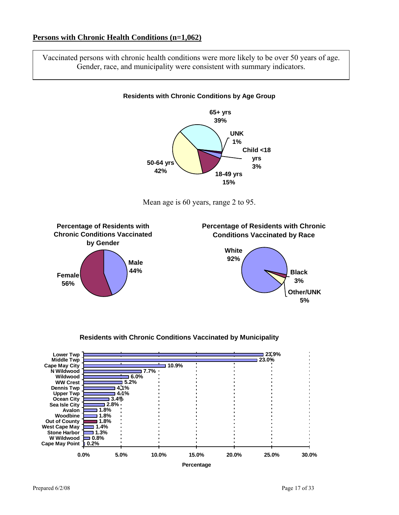#### **Persons with Chronic Health Conditions (n=1,062)**

Vaccinated persons with chronic health conditions were more likely to be over 50 years of age. Gender, race, and municipality were consistent with summary indicators.

#### **Residents with Chronic Conditions by Age Group**









**0.0% 5.0% 10.0% 15.0% 20.0% 25.0% 30.0%**

**Percentage**

#### **Residents with Chronic Conditions Vaccinated by Municipality**

**0.2% Cape May Point**

**W Wildwood**

**0.8%**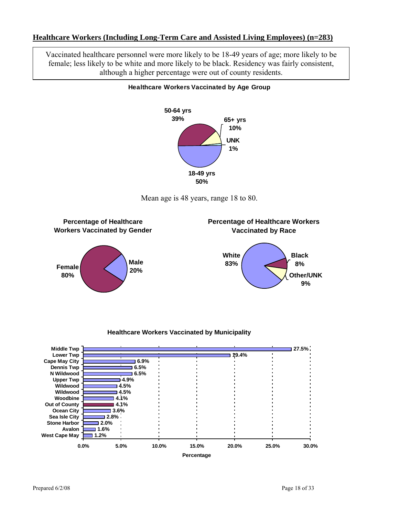#### **Healthcare Workers (Including Long-Term Care and Assisted Living Employees) (n=283)**

Vaccinated healthcare personnel were more likely to be 18-49 years of age; more likely to be female; less likely to be white and more likely to be black. Residency was fairly consistent, although a higher percentage were out of county residents.



#### **Healthcare Workers Vaccinated by Age Group**







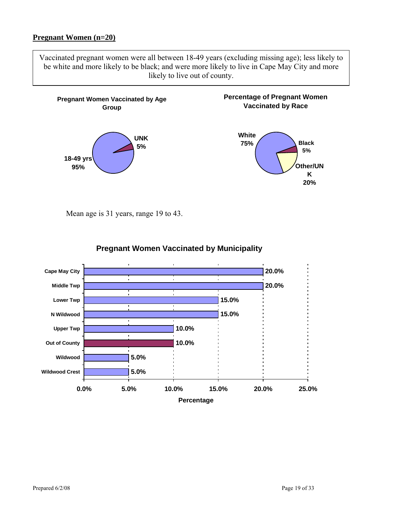#### **Pregnant Women (n=20)**

Vaccinated pregnant women were all between 18-49 years (excluding missing age); less likely to be white and more likely to be black; and were more likely to live in Cape May City and more likely to live out of county.



Mean age is 31 years, range 19 to 43.



### **Pregnant Women Vaccinated by Municipality**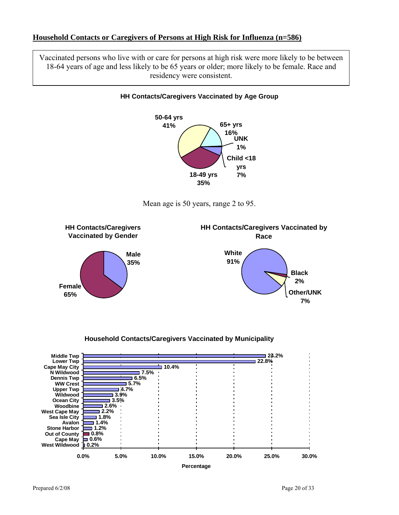#### **Household Contacts or Caregivers of Persons at High Risk for Influenza (n=586)**

Vaccinated persons who live with or care for persons at high risk were more likely to be between 18-64 years of age and less likely to be 65 years or older; more likely to be female. Race and residency were consistent.



#### **Household Contacts/Caregivers Vaccinated by Municipality**

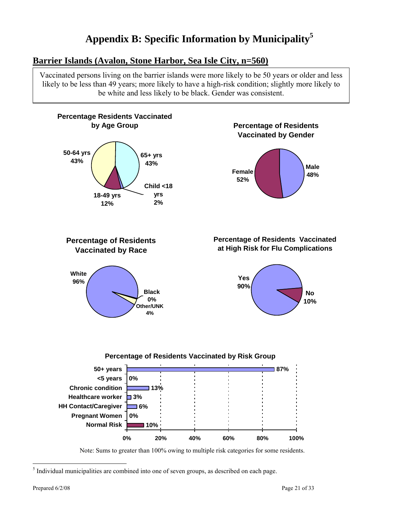# **Appendix B: Specific Information by Municipality5**

# **Barrier Islands (Avalon, Stone Harbor, Sea Isle City, n=560)**

Vaccinated persons living on the barrier islands were more likely to be 50 years or older and less likely to be less than 49 years; more likely to have a high-risk condition; slightly more likely to be white and less likely to be black. Gender was consistent.



 5 Individual municipalities are combined into one of seven groups, as described on each page.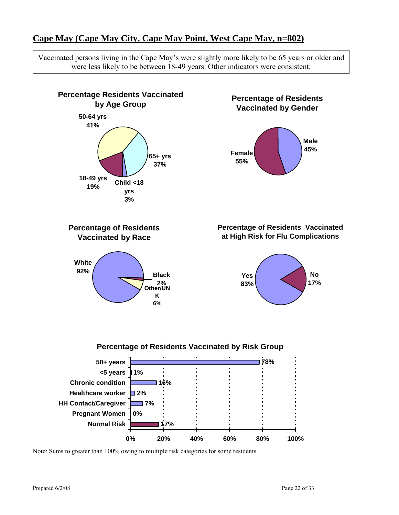# **Cape May (Cape May City, Cape May Point, West Cape May, n=802)**

Vaccinated persons living in the Cape May's were slightly more likely to be 65 years or older and were less likely to be between 18-49 years. Other indicators were consistent.

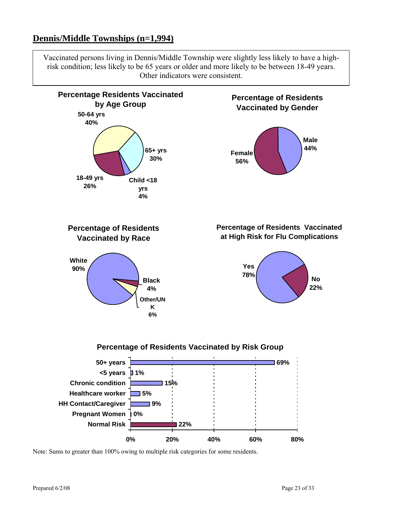# **Dennis/Middle Townships (n=1,994)**

Vaccinated persons living in Dennis/Middle Township were slightly less likely to have a highrisk condition; less likely to be 65 years or older and more likely to be between 18-49 years. Other indicators were consistent.

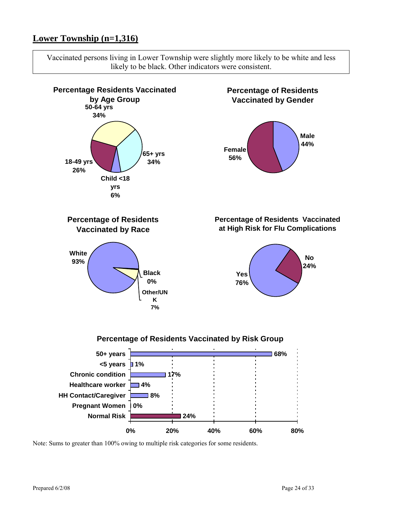# **Lower Township (n=1,316)**

Vaccinated persons living in Lower Township were slightly more likely to be white and less likely to be black. Other indicators were consistent.

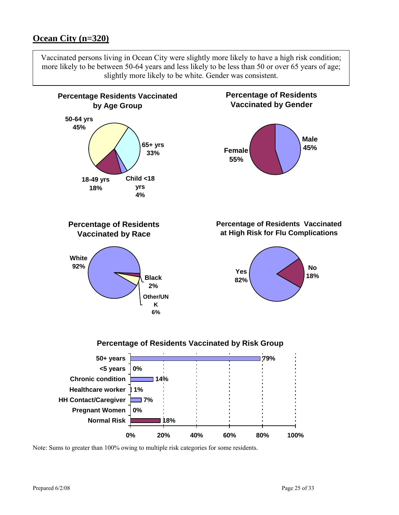## **Ocean City (n=320)**

Vaccinated persons living in Ocean City were slightly more likely to have a high risk condition; more likely to be between 50-64 years and less likely to be less than 50 or over 65 years of age; slightly more likely to be white. Gender was consistent.

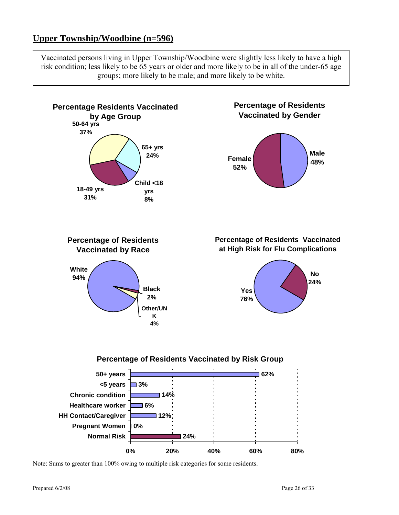# **Upper Township/Woodbine (n=596)**

Vaccinated persons living in Upper Township/Woodbine were slightly less likely to have a high risk condition; less likely to be 65 years or older and more likely to be in all of the under-65 age groups; more likely to be male; and more likely to be white.



Note: Sums to greater than 100% owing to multiple risk categories for some residents.

Prepared  $6/2/08$  Page 26 of 33